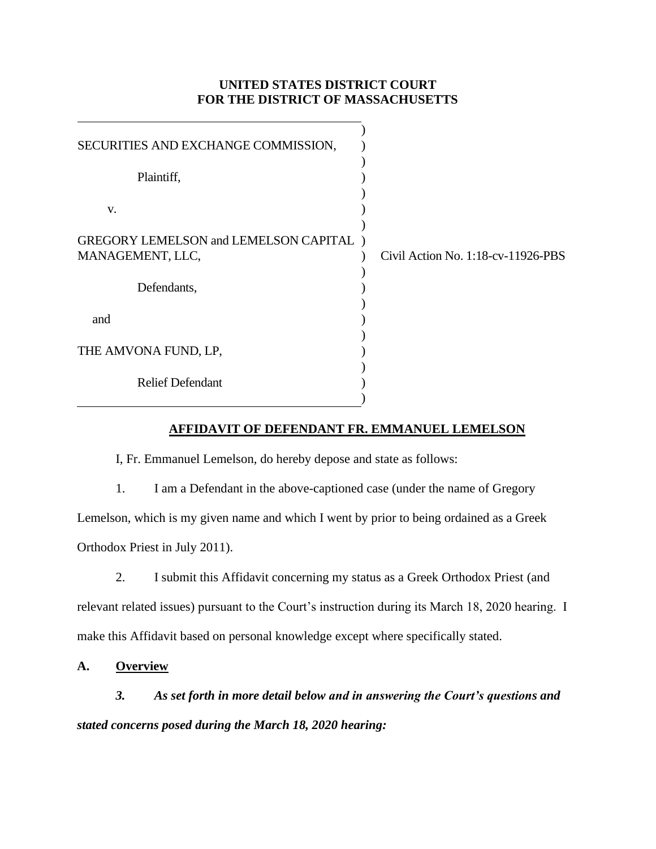# **UNITED STATES DISTRICT COURT FOR THE DISTRICT OF MASSACHUSETTS**

| SECURITIES AND EXCHANGE COMMISSION,            |                                    |
|------------------------------------------------|------------------------------------|
| Plaintiff,                                     |                                    |
| V.                                             |                                    |
| <b>GREGORY LEMELSON and LEMELSON CAPITAL</b> ) |                                    |
| MANAGEMENT, LLC,                               | Civil Action No. 1:18-cv-11926-PBS |
| Defendants,                                    |                                    |
| and                                            |                                    |
| THE AMVONA FUND, LP,                           |                                    |
| <b>Relief Defendant</b>                        |                                    |
|                                                |                                    |

### **AFFIDAVIT OF DEFENDANT FR. EMMANUEL LEMELSON**

I, Fr. Emmanuel Lemelson, do hereby depose and state as follows:

1. I am a Defendant in the above-captioned case (under the name of Gregory Lemelson, which is my given name and which I went by prior to being ordained as a Greek Orthodox Priest in July 2011).

2. I submit this Affidavit concerning my status as a Greek Orthodox Priest (and relevant related issues) pursuant to the Court's instruction during its March 18, 2020 hearing. I make this Affidavit based on personal knowledge except where specifically stated.

**A. Overview**

*3. As set forth in more detail below and in answering the Court's questions and stated concerns posed during the March 18, 2020 hearing:*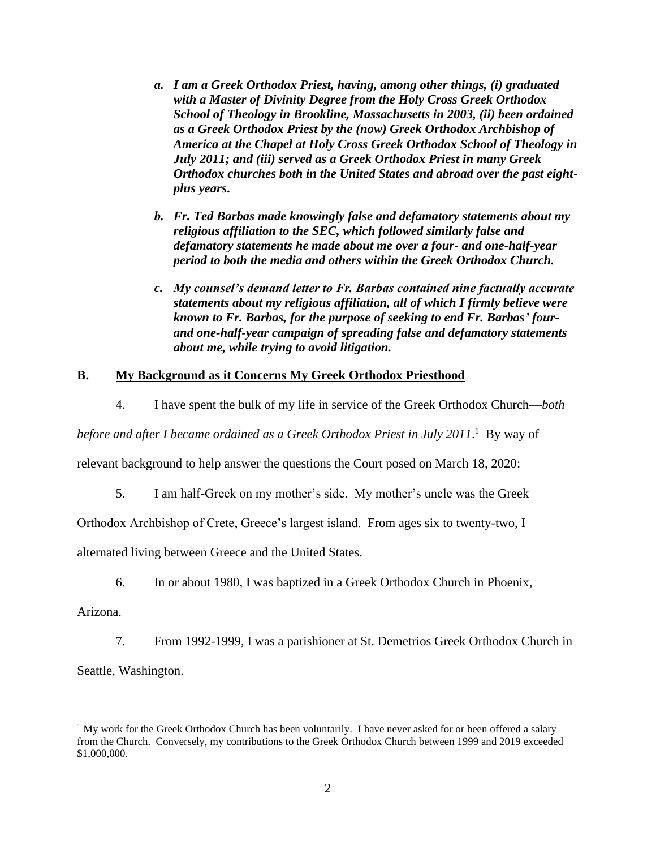- *a. I am a Greek Orthodox Priest, having, among other things, (i) graduated with a Master of Divinity Degree from the Holy Cross Greek Orthodox School of Theology in Brookline, Massachusetts in 2003, (ii) been ordained as a Greek Orthodox Priest by the (now) Greek Orthodox Archbishop of America at the Chapel at Holy Cross Greek Orthodox School of Theology in July 2011; and (iii) served as a Greek Orthodox Priest in many Greek Orthodox churches both in the United States and abroad over the past eightplus years***.**
- *b. Fr. Ted Barbas made knowingly false and defamatory statements about my religious affiliation to the SEC, which followed similarly false and defamatory statements he made about me over a four- and one-half-year period to both the media and others within the Greek Orthodox Church.*
- *c. My counsel's demand letter to Fr. Barbas contained nine factually accurate statements about my religious affiliation, all of which I firmly believe were known to Fr. Barbas, for the purpose of seeking to end Fr. Barbas' fourand one-half-year campaign of spreading false and defamatory statements about me, while trying to avoid litigation.*

# **B. My Background as it Concerns My Greek Orthodox Priesthood**

4. I have spent the bulk of my life in service of the Greek Orthodox Church—*both* 

before and after I became ordained as a Greek Orthodox Priest in July 2011.<sup>1</sup> By way of

relevant background to help answer the questions the Court posed on March 18, 2020:

5. I am half-Greek on my mother's side. My mother's uncle was the Greek

Orthodox Archbishop of Crete, Greece's largest island. From ages six to twenty-two, I

alternated living between Greece and the United States.

6. In or about 1980, I was baptized in a Greek Orthodox Church in Phoenix,

Arizona.

7. From 1992-1999, I was a parishioner at St. Demetrios Greek Orthodox Church in Seattle, Washington.

<sup>&</sup>lt;sup>1</sup> My work for the Greek Orthodox Church has been voluntarily. I have never asked for or been offered a salary from the Church. Conversely, my contributions to the Greek Orthodox Church between 1999 and 2019 exceeded \$1,000,000.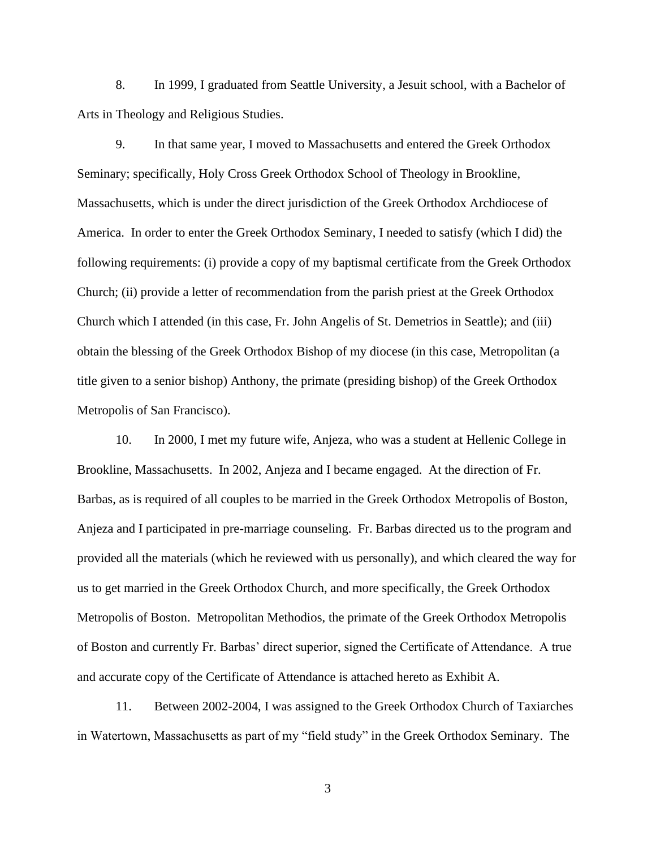8. In 1999, I graduated from Seattle University, a Jesuit school, with a Bachelor of Arts in Theology and Religious Studies.

9. In that same year, I moved to Massachusetts and entered the Greek Orthodox Seminary; specifically, Holy Cross Greek Orthodox School of Theology in Brookline, Massachusetts, which is under the direct jurisdiction of the Greek Orthodox Archdiocese of America. In order to enter the Greek Orthodox Seminary, I needed to satisfy (which I did) the following requirements: (i) provide a copy of my baptismal certificate from the Greek Orthodox Church; (ii) provide a letter of recommendation from the parish priest at the Greek Orthodox Church which I attended (in this case, Fr. John Angelis of St. Demetrios in Seattle); and (iii) obtain the blessing of the Greek Orthodox Bishop of my diocese (in this case, Metropolitan (a title given to a senior bishop) Anthony, the primate (presiding bishop) of the Greek Orthodox Metropolis of San Francisco).

10. In 2000, I met my future wife, Anjeza, who was a student at Hellenic College in Brookline, Massachusetts. In 2002, Anjeza and I became engaged. At the direction of Fr. Barbas, as is required of all couples to be married in the Greek Orthodox Metropolis of Boston, Anjeza and I participated in pre-marriage counseling. Fr. Barbas directed us to the program and provided all the materials (which he reviewed with us personally), and which cleared the way for us to get married in the Greek Orthodox Church, and more specifically, the Greek Orthodox Metropolis of Boston. Metropolitan Methodios, the primate of the Greek Orthodox Metropolis of Boston and currently Fr. Barbas' direct superior, signed the Certificate of Attendance. A true and accurate copy of the Certificate of Attendance is attached hereto as Exhibit A.

11. Between 2002-2004, I was assigned to the Greek Orthodox Church of Taxiarches in Watertown, Massachusetts as part of my "field study" in the Greek Orthodox Seminary. The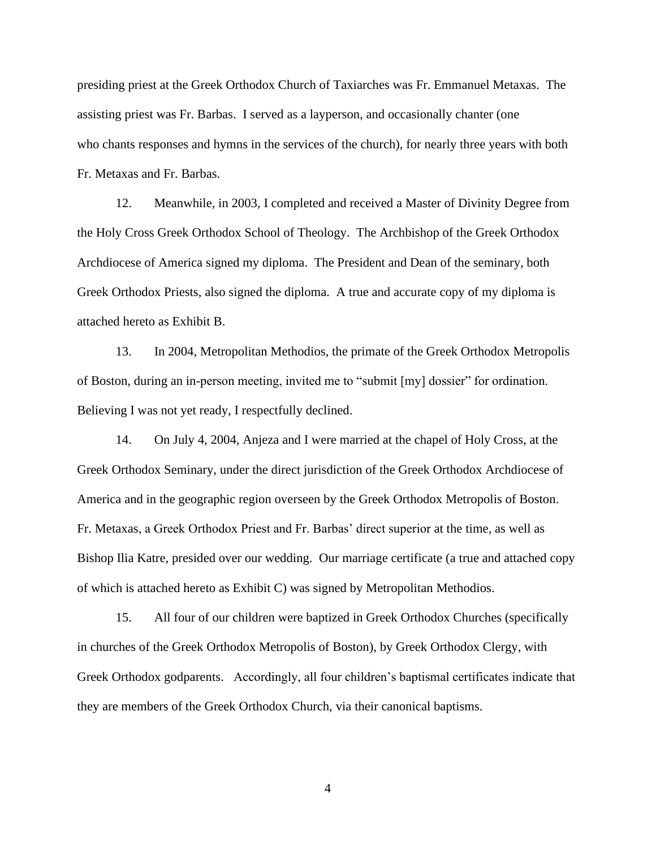presiding priest at the Greek Orthodox Church of Taxiarches was Fr. Emmanuel Metaxas. The assisting priest was Fr. Barbas. I served as a layperson, and occasionally chanter (one who chants responses and hymns in the services of the church), for nearly three years with both Fr. Metaxas and Fr. Barbas.

12. Meanwhile, in 2003, I completed and received a Master of Divinity Degree from the Holy Cross Greek Orthodox School of Theology. The Archbishop of the Greek Orthodox Archdiocese of America signed my diploma. The President and Dean of the seminary, both Greek Orthodox Priests, also signed the diploma. A true and accurate copy of my diploma is attached hereto as Exhibit B.

13. In 2004, Metropolitan Methodios, the primate of the Greek Orthodox Metropolis of Boston, during an in-person meeting, invited me to "submit [my] dossier" for ordination. Believing I was not yet ready, I respectfully declined.

14. On July 4, 2004, Anjeza and I were married at the chapel of Holy Cross, at the Greek Orthodox Seminary, under the direct jurisdiction of the Greek Orthodox Archdiocese of America and in the geographic region overseen by the Greek Orthodox Metropolis of Boston. Fr. Metaxas, a Greek Orthodox Priest and Fr. Barbas' direct superior at the time, as well as Bishop Ilia Katre, presided over our wedding. Our marriage certificate (a true and attached copy of which is attached hereto as Exhibit C) was signed by Metropolitan Methodios.

15. All four of our children were baptized in Greek Orthodox Churches (specifically in churches of the Greek Orthodox Metropolis of Boston), by Greek Orthodox Clergy, with Greek Orthodox godparents. Accordingly, all four children's baptismal certificates indicate that they are members of the Greek Orthodox Church, via their canonical baptisms.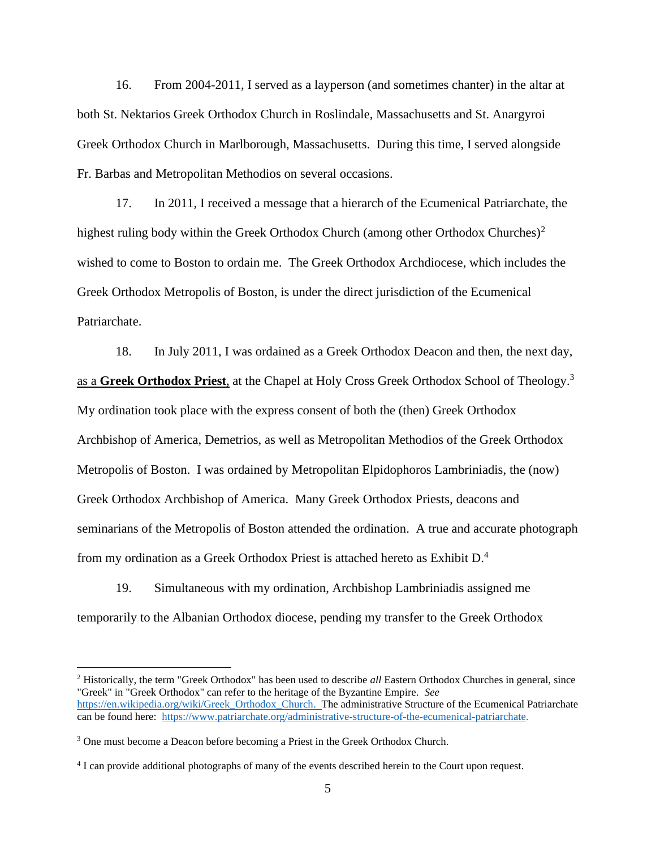16. From 2004-2011, I served as a layperson (and sometimes chanter) in the altar at both St. Nektarios Greek Orthodox Church in Roslindale, Massachusetts and St. Anargyroi Greek Orthodox Church in Marlborough, Massachusetts. During this time, I served alongside Fr. Barbas and Metropolitan Methodios on several occasions.

17. In 2011, I received a message that a hierarch of the Ecumenical Patriarchate, the highest ruling body within the Greek Orthodox Church (among other Orthodox Churches)<sup>2</sup> wished to come to Boston to ordain me. The Greek Orthodox Archdiocese, which includes the Greek Orthodox Metropolis of Boston, is under the direct jurisdiction of the Ecumenical Patriarchate.

18. In July 2011, I was ordained as a Greek Orthodox Deacon and then, the next day, as a **Greek Orthodox Priest**, at the Chapel at Holy Cross Greek Orthodox School of Theology.<sup>3</sup> My ordination took place with the express consent of both the (then) Greek Orthodox Archbishop of America, Demetrios, as well as Metropolitan Methodios of the Greek Orthodox Metropolis of Boston. I was ordained by Metropolitan Elpidophoros Lambriniadis, the (now) Greek Orthodox Archbishop of America. Many Greek Orthodox Priests, deacons and seminarians of the Metropolis of Boston attended the ordination. A true and accurate photograph from my ordination as a Greek Orthodox Priest is attached hereto as Exhibit  $D<sup>4</sup>$ .

19. Simultaneous with my ordination, Archbishop Lambriniadis assigned me temporarily to the Albanian Orthodox diocese, pending my transfer to the Greek Orthodox

<sup>2</sup> Historically, the term "Greek Orthodox" has been used to describe *all* Eastern Orthodox Churches in general, since "Greek" in "Greek Orthodox" can refer to the heritage of the Byzantine Empire. *See* [https://en.wikipedia.org/wiki/Greek\\_Orthodox\\_Church.](https://en.wikipedia.org/wiki/Greek_Orthodox_Church) The administrative Structure of the Ecumenical Patriarchate can be found here: [https://www.patriarchate.org/administrative-structure-of-the-ecumenical-patriarchate.](https://www.patriarchate.org/administrative-structure-of-the-ecumenical-patriarchate)

<sup>3</sup> One must become a Deacon before becoming a Priest in the Greek Orthodox Church.

<sup>4</sup> I can provide additional photographs of many of the events described herein to the Court upon request.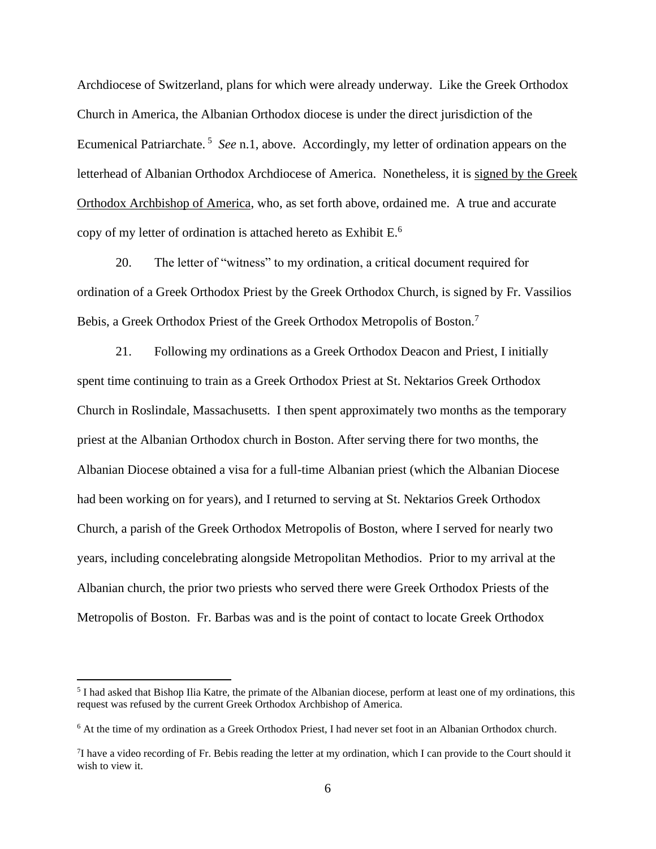Archdiocese of Switzerland, plans for which were already underway. Like the Greek Orthodox Church in America, the Albanian Orthodox diocese is under the direct jurisdiction of the Ecumenical Patriarchate.<sup>5</sup> See n.1, above. Accordingly, my letter of ordination appears on the letterhead of Albanian Orthodox Archdiocese of America. Nonetheless, it is signed by the Greek Orthodox Archbishop of America, who, as set forth above, ordained me. A true and accurate copy of my letter of ordination is attached hereto as Exhibit E. 6

20. The letter of "witness" to my ordination, a critical document required for ordination of a Greek Orthodox Priest by the Greek Orthodox Church, is signed by Fr. Vassilios Bebis, a Greek Orthodox Priest of the Greek Orthodox Metropolis of Boston.<sup>7</sup>

21. Following my ordinations as a Greek Orthodox Deacon and Priest, I initially spent time continuing to train as a Greek Orthodox Priest at St. Nektarios Greek Orthodox Church in Roslindale, Massachusetts. I then spent approximately two months as the temporary priest at the Albanian Orthodox church in Boston. After serving there for two months, the Albanian Diocese obtained a visa for a full-time Albanian priest (which the Albanian Diocese had been working on for years), and I returned to serving at St. Nektarios Greek Orthodox Church, a parish of the Greek Orthodox Metropolis of Boston, where I served for nearly two years, including concelebrating alongside Metropolitan Methodios. Prior to my arrival at the Albanian church, the prior two priests who served there were Greek Orthodox Priests of the Metropolis of Boston. Fr. Barbas was and is the point of contact to locate Greek Orthodox

<sup>&</sup>lt;sup>5</sup> I had asked that Bishop Ilia Katre, the primate of the Albanian diocese, perform at least one of my ordinations, this request was refused by the current Greek Orthodox Archbishop of America.

<sup>6</sup> At the time of my ordination as a Greek Orthodox Priest, I had never set foot in an Albanian Orthodox church.

 $7$ I have a video recording of Fr. Bebis reading the letter at my ordination, which I can provide to the Court should it wish to view it.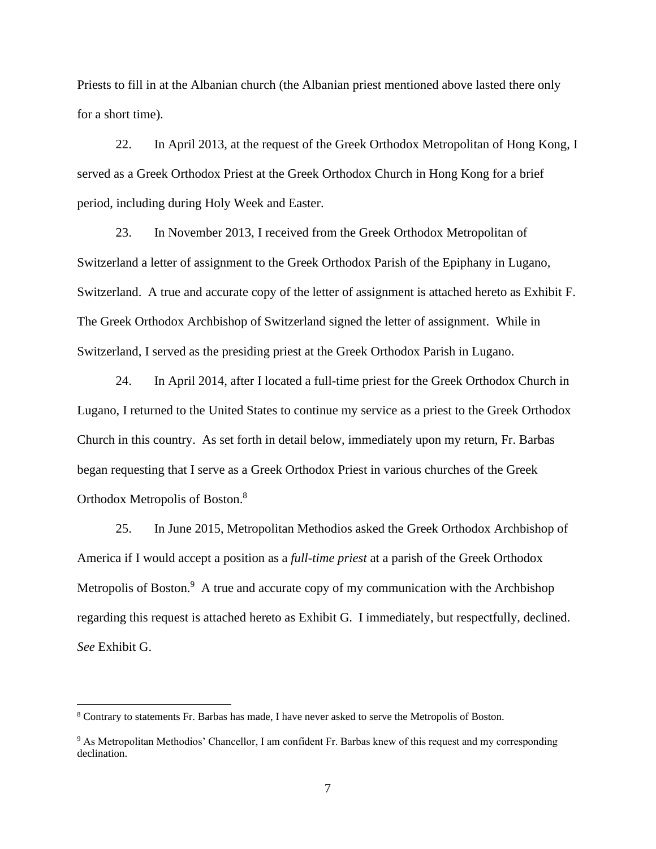Priests to fill in at the Albanian church (the Albanian priest mentioned above lasted there only for a short time).

22. In April 2013, at the request of the Greek Orthodox Metropolitan of Hong Kong, I served as a Greek Orthodox Priest at the Greek Orthodox Church in Hong Kong for a brief period, including during Holy Week and Easter.

23. In November 2013, I received from the Greek Orthodox Metropolitan of Switzerland a letter of assignment to the Greek Orthodox Parish of the Epiphany in Lugano, Switzerland. A true and accurate copy of the letter of assignment is attached hereto as Exhibit F. The Greek Orthodox Archbishop of Switzerland signed the letter of assignment. While in Switzerland, I served as the presiding priest at the Greek Orthodox Parish in Lugano.

24. In April 2014, after I located a full-time priest for the Greek Orthodox Church in Lugano, I returned to the United States to continue my service as a priest to the Greek Orthodox Church in this country. As set forth in detail below, immediately upon my return, Fr. Barbas began requesting that I serve as a Greek Orthodox Priest in various churches of the Greek Orthodox Metropolis of Boston.<sup>8</sup>

25. In June 2015, Metropolitan Methodios asked the Greek Orthodox Archbishop of America if I would accept a position as a *full-time priest* at a parish of the Greek Orthodox Metropolis of Boston.<sup>9</sup> A true and accurate copy of my communication with the Archbishop regarding this request is attached hereto as Exhibit G. I immediately, but respectfully, declined. *See* Exhibit G.

<sup>8</sup> Contrary to statements Fr. Barbas has made, I have never asked to serve the Metropolis of Boston.

<sup>9</sup> As Metropolitan Methodios' Chancellor, I am confident Fr. Barbas knew of this request and my corresponding declination.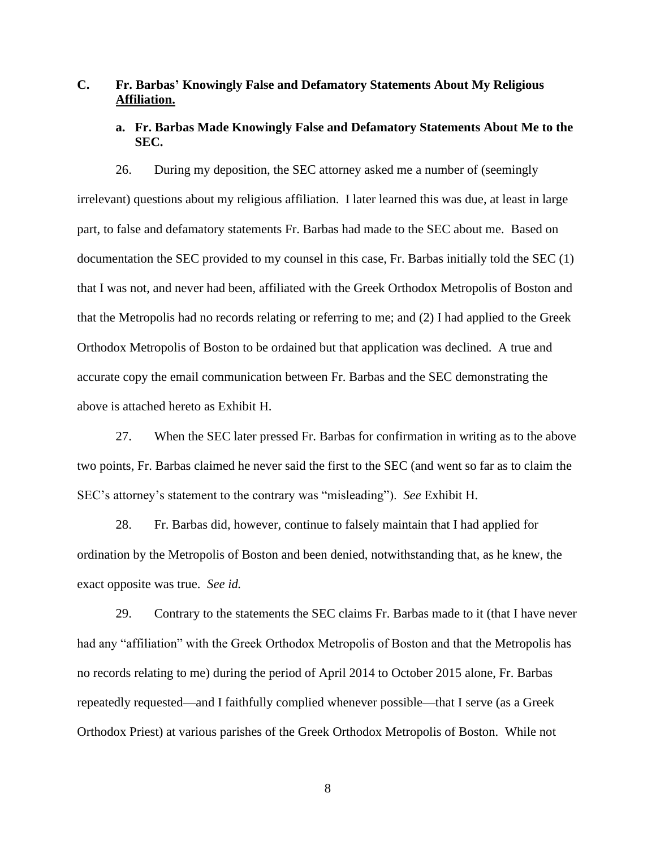# **C. Fr. Barbas' Knowingly False and Defamatory Statements About My Religious Affiliation.**

## **a. Fr. Barbas Made Knowingly False and Defamatory Statements About Me to the SEC.**

26. During my deposition, the SEC attorney asked me a number of (seemingly irrelevant) questions about my religious affiliation. I later learned this was due, at least in large part, to false and defamatory statements Fr. Barbas had made to the SEC about me. Based on documentation the SEC provided to my counsel in this case, Fr. Barbas initially told the SEC (1) that I was not, and never had been, affiliated with the Greek Orthodox Metropolis of Boston and that the Metropolis had no records relating or referring to me; and (2) I had applied to the Greek Orthodox Metropolis of Boston to be ordained but that application was declined. A true and accurate copy the email communication between Fr. Barbas and the SEC demonstrating the above is attached hereto as Exhibit H.

27. When the SEC later pressed Fr. Barbas for confirmation in writing as to the above two points, Fr. Barbas claimed he never said the first to the SEC (and went so far as to claim the SEC's attorney's statement to the contrary was "misleading"). *See* Exhibit H.

28. Fr. Barbas did, however, continue to falsely maintain that I had applied for ordination by the Metropolis of Boston and been denied, notwithstanding that, as he knew, the exact opposite was true. *See id.*

29. Contrary to the statements the SEC claims Fr. Barbas made to it (that I have never had any "affiliation" with the Greek Orthodox Metropolis of Boston and that the Metropolis has no records relating to me) during the period of April 2014 to October 2015 alone, Fr. Barbas repeatedly requested—and I faithfully complied whenever possible—that I serve (as a Greek Orthodox Priest) at various parishes of the Greek Orthodox Metropolis of Boston. While not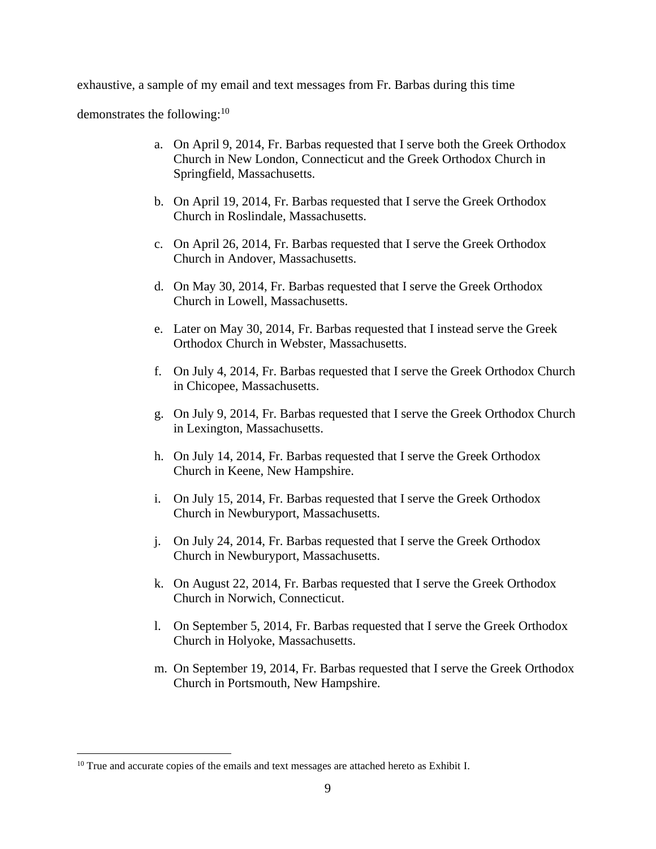exhaustive, a sample of my email and text messages from Fr. Barbas during this time

demonstrates the following: $10$ 

- a. On April 9, 2014, Fr. Barbas requested that I serve both the Greek Orthodox Church in New London, Connecticut and the Greek Orthodox Church in Springfield, Massachusetts.
- b. On April 19, 2014, Fr. Barbas requested that I serve the Greek Orthodox Church in Roslindale, Massachusetts.
- c. On April 26, 2014, Fr. Barbas requested that I serve the Greek Orthodox Church in Andover, Massachusetts.
- d. On May 30, 2014, Fr. Barbas requested that I serve the Greek Orthodox Church in Lowell, Massachusetts.
- e. Later on May 30, 2014, Fr. Barbas requested that I instead serve the Greek Orthodox Church in Webster, Massachusetts.
- f. On July 4, 2014, Fr. Barbas requested that I serve the Greek Orthodox Church in Chicopee, Massachusetts.
- g. On July 9, 2014, Fr. Barbas requested that I serve the Greek Orthodox Church in Lexington, Massachusetts.
- h. On July 14, 2014, Fr. Barbas requested that I serve the Greek Orthodox Church in Keene, New Hampshire.
- i. On July 15, 2014, Fr. Barbas requested that I serve the Greek Orthodox Church in Newburyport, Massachusetts.
- j. On July 24, 2014, Fr. Barbas requested that I serve the Greek Orthodox Church in Newburyport, Massachusetts.
- k. On August 22, 2014, Fr. Barbas requested that I serve the Greek Orthodox Church in Norwich, Connecticut.
- l. On September 5, 2014, Fr. Barbas requested that I serve the Greek Orthodox Church in Holyoke, Massachusetts.
- m. On September 19, 2014, Fr. Barbas requested that I serve the Greek Orthodox Church in Portsmouth, New Hampshire.

<sup>&</sup>lt;sup>10</sup> True and accurate copies of the emails and text messages are attached hereto as Exhibit I.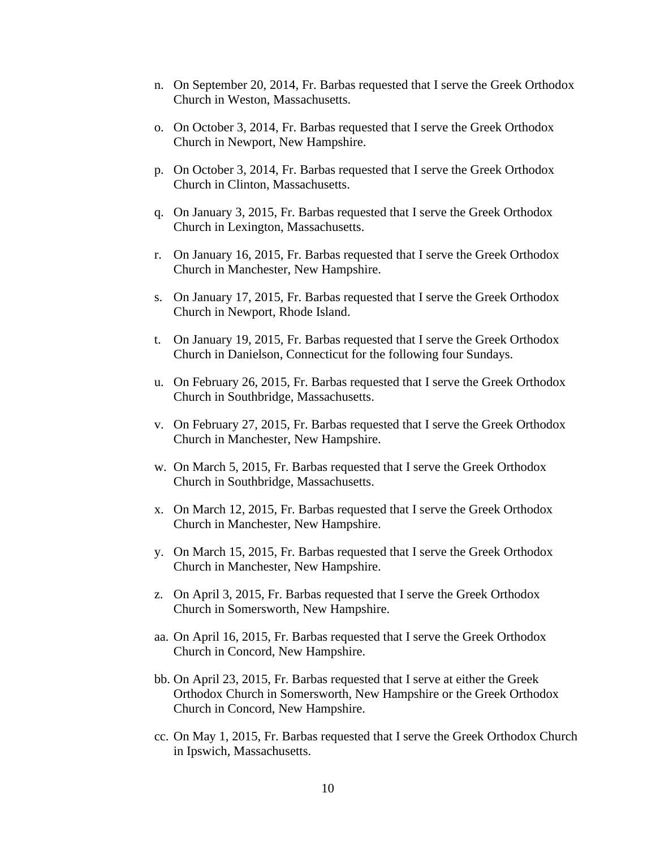- n. On September 20, 2014, Fr. Barbas requested that I serve the Greek Orthodox Church in Weston, Massachusetts.
- o. On October 3, 2014, Fr. Barbas requested that I serve the Greek Orthodox Church in Newport, New Hampshire.
- p. On October 3, 2014, Fr. Barbas requested that I serve the Greek Orthodox Church in Clinton, Massachusetts.
- q. On January 3, 2015, Fr. Barbas requested that I serve the Greek Orthodox Church in Lexington, Massachusetts.
- r. On January 16, 2015, Fr. Barbas requested that I serve the Greek Orthodox Church in Manchester, New Hampshire.
- s. On January 17, 2015, Fr. Barbas requested that I serve the Greek Orthodox Church in Newport, Rhode Island.
- t. On January 19, 2015, Fr. Barbas requested that I serve the Greek Orthodox Church in Danielson, Connecticut for the following four Sundays.
- u. On February 26, 2015, Fr. Barbas requested that I serve the Greek Orthodox Church in Southbridge, Massachusetts.
- v. On February 27, 2015, Fr. Barbas requested that I serve the Greek Orthodox Church in Manchester, New Hampshire.
- w. On March 5, 2015, Fr. Barbas requested that I serve the Greek Orthodox Church in Southbridge, Massachusetts.
- x. On March 12, 2015, Fr. Barbas requested that I serve the Greek Orthodox Church in Manchester, New Hampshire.
- y. On March 15, 2015, Fr. Barbas requested that I serve the Greek Orthodox Church in Manchester, New Hampshire.
- z. On April 3, 2015, Fr. Barbas requested that I serve the Greek Orthodox Church in Somersworth, New Hampshire.
- aa. On April 16, 2015, Fr. Barbas requested that I serve the Greek Orthodox Church in Concord, New Hampshire.
- bb. On April 23, 2015, Fr. Barbas requested that I serve at either the Greek Orthodox Church in Somersworth, New Hampshire or the Greek Orthodox Church in Concord, New Hampshire.
- cc. On May 1, 2015, Fr. Barbas requested that I serve the Greek Orthodox Church in Ipswich, Massachusetts.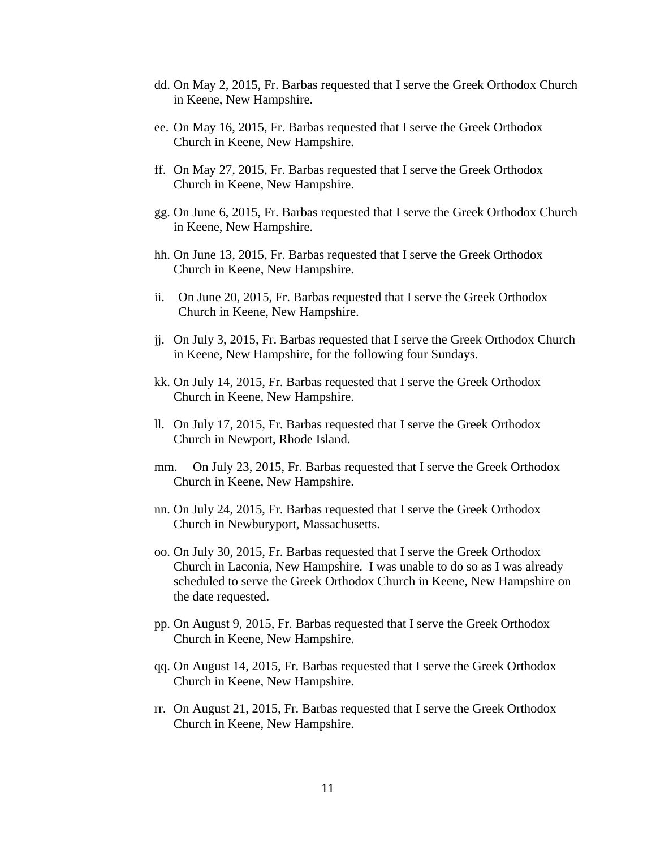- dd. On May 2, 2015, Fr. Barbas requested that I serve the Greek Orthodox Church in Keene, New Hampshire.
- ee. On May 16, 2015, Fr. Barbas requested that I serve the Greek Orthodox Church in Keene, New Hampshire.
- ff. On May 27, 2015, Fr. Barbas requested that I serve the Greek Orthodox Church in Keene, New Hampshire.
- gg. On June 6, 2015, Fr. Barbas requested that I serve the Greek Orthodox Church in Keene, New Hampshire.
- hh. On June 13, 2015, Fr. Barbas requested that I serve the Greek Orthodox Church in Keene, New Hampshire.
- ii. On June 20, 2015, Fr. Barbas requested that I serve the Greek Orthodox Church in Keene, New Hampshire.
- jj. On July 3, 2015, Fr. Barbas requested that I serve the Greek Orthodox Church in Keene, New Hampshire, for the following four Sundays.
- kk. On July 14, 2015, Fr. Barbas requested that I serve the Greek Orthodox Church in Keene, New Hampshire.
- ll. On July 17, 2015, Fr. Barbas requested that I serve the Greek Orthodox Church in Newport, Rhode Island.
- mm. On July 23, 2015, Fr. Barbas requested that I serve the Greek Orthodox Church in Keene, New Hampshire.
- nn. On July 24, 2015, Fr. Barbas requested that I serve the Greek Orthodox Church in Newburyport, Massachusetts.
- oo. On July 30, 2015, Fr. Barbas requested that I serve the Greek Orthodox Church in Laconia, New Hampshire. I was unable to do so as I was already scheduled to serve the Greek Orthodox Church in Keene, New Hampshire on the date requested.
- pp. On August 9, 2015, Fr. Barbas requested that I serve the Greek Orthodox Church in Keene, New Hampshire.
- qq. On August 14, 2015, Fr. Barbas requested that I serve the Greek Orthodox Church in Keene, New Hampshire.
- rr. On August 21, 2015, Fr. Barbas requested that I serve the Greek Orthodox Church in Keene, New Hampshire.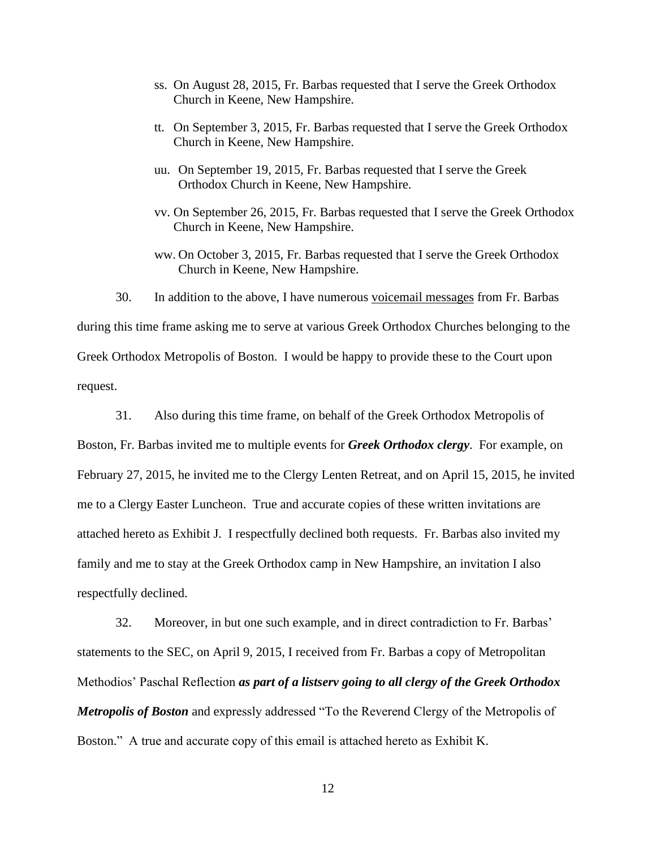- ss. On August 28, 2015, Fr. Barbas requested that I serve the Greek Orthodox Church in Keene, New Hampshire.
- tt. On September 3, 2015, Fr. Barbas requested that I serve the Greek Orthodox Church in Keene, New Hampshire.
- uu. On September 19, 2015, Fr. Barbas requested that I serve the Greek Orthodox Church in Keene, New Hampshire.
- vv. On September 26, 2015, Fr. Barbas requested that I serve the Greek Orthodox Church in Keene, New Hampshire.
- ww. On October 3, 2015, Fr. Barbas requested that I serve the Greek Orthodox Church in Keene, New Hampshire.
- 30. In addition to the above, I have numerous voicemail messages from Fr. Barbas during this time frame asking me to serve at various Greek Orthodox Churches belonging to the Greek Orthodox Metropolis of Boston. I would be happy to provide these to the Court upon request.
- 31. Also during this time frame, on behalf of the Greek Orthodox Metropolis of Boston, Fr. Barbas invited me to multiple events for *Greek Orthodox clergy*. For example, on February 27, 2015, he invited me to the Clergy Lenten Retreat, and on April 15, 2015, he invited me to a Clergy Easter Luncheon. True and accurate copies of these written invitations are attached hereto as Exhibit J. I respectfully declined both requests. Fr. Barbas also invited my family and me to stay at the Greek Orthodox camp in New Hampshire, an invitation I also respectfully declined.

32. Moreover, in but one such example, and in direct contradiction to Fr. Barbas' statements to the SEC, on April 9, 2015, I received from Fr. Barbas a copy of Metropolitan Methodios' Paschal Reflection *as part of a listserv going to all clergy of the Greek Orthodox Metropolis of Boston* and expressly addressed "To the Reverend Clergy of the Metropolis of Boston." A true and accurate copy of this email is attached hereto as Exhibit K.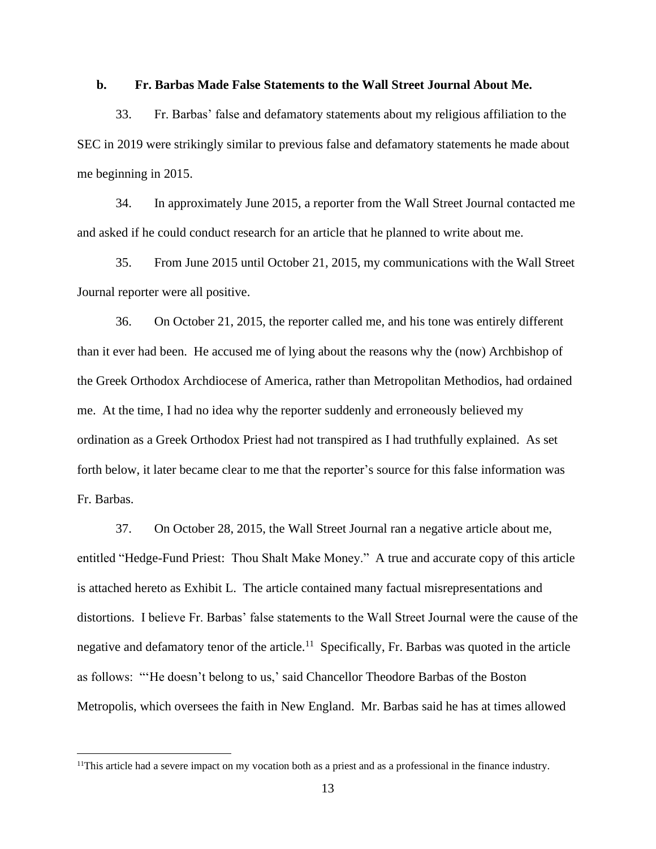#### **b. Fr. Barbas Made False Statements to the Wall Street Journal About Me.**

33. Fr. Barbas' false and defamatory statements about my religious affiliation to the SEC in 2019 were strikingly similar to previous false and defamatory statements he made about me beginning in 2015.

34. In approximately June 2015, a reporter from the Wall Street Journal contacted me and asked if he could conduct research for an article that he planned to write about me.

35. From June 2015 until October 21, 2015, my communications with the Wall Street Journal reporter were all positive.

36. On October 21, 2015, the reporter called me, and his tone was entirely different than it ever had been. He accused me of lying about the reasons why the (now) Archbishop of the Greek Orthodox Archdiocese of America, rather than Metropolitan Methodios, had ordained me. At the time, I had no idea why the reporter suddenly and erroneously believed my ordination as a Greek Orthodox Priest had not transpired as I had truthfully explained. As set forth below, it later became clear to me that the reporter's source for this false information was Fr. Barbas.

37. On October 28, 2015, the Wall Street Journal ran a negative article about me, entitled "Hedge-Fund Priest: Thou Shalt Make Money." A true and accurate copy of this article is attached hereto as Exhibit L. The article contained many factual misrepresentations and distortions. I believe Fr. Barbas' false statements to the Wall Street Journal were the cause of the negative and defamatory tenor of the article.<sup>11</sup> Specifically, Fr. Barbas was quoted in the article as follows: "'He doesn't belong to us,' said Chancellor Theodore Barbas of the Boston Metropolis, which oversees the faith in New England. Mr. Barbas said he has at times allowed

<sup>&</sup>lt;sup>11</sup>This article had a severe impact on my vocation both as a priest and as a professional in the finance industry.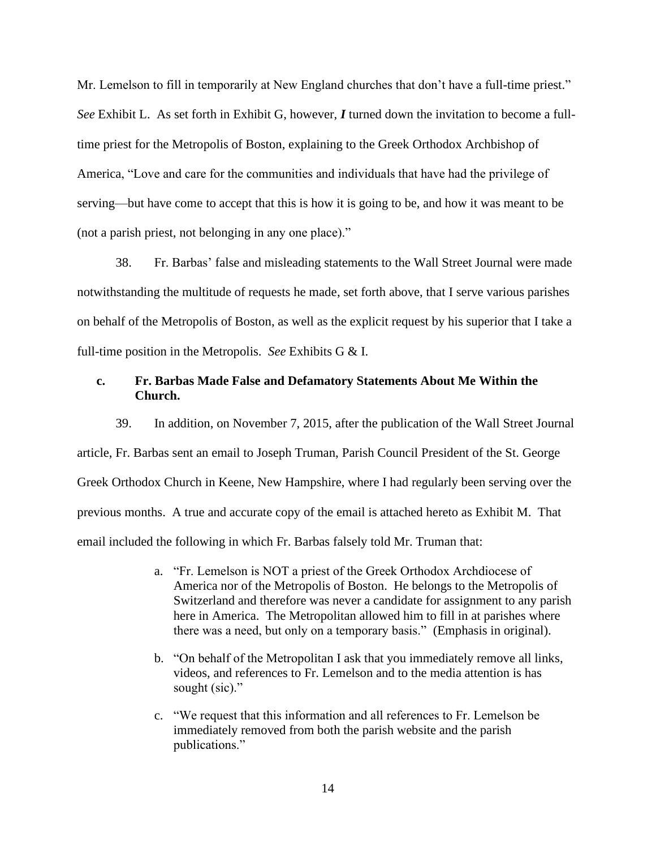Mr. Lemelson to fill in temporarily at New England churches that don't have a full-time priest." *See* Exhibit L. As set forth in Exhibit G, however, *I* turned down the invitation to become a fulltime priest for the Metropolis of Boston, explaining to the Greek Orthodox Archbishop of America, "Love and care for the communities and individuals that have had the privilege of serving—but have come to accept that this is how it is going to be, and how it was meant to be (not a parish priest, not belonging in any one place)."

38. Fr. Barbas' false and misleading statements to the Wall Street Journal were made notwithstanding the multitude of requests he made, set forth above, that I serve various parishes on behalf of the Metropolis of Boston, as well as the explicit request by his superior that I take a full-time position in the Metropolis. *See* Exhibits G & I.

### **c. Fr. Barbas Made False and Defamatory Statements About Me Within the Church.**

39. In addition, on November 7, 2015, after the publication of the Wall Street Journal article, Fr. Barbas sent an email to Joseph Truman, Parish Council President of the St. George Greek Orthodox Church in Keene, New Hampshire, where I had regularly been serving over the previous months. A true and accurate copy of the email is attached hereto as Exhibit M. That email included the following in which Fr. Barbas falsely told Mr. Truman that:

- a. "Fr. Lemelson is NOT a priest of the Greek Orthodox Archdiocese of America nor of the Metropolis of Boston. He belongs to the Metropolis of Switzerland and therefore was never a candidate for assignment to any parish here in America. The Metropolitan allowed him to fill in at parishes where there was a need, but only on a temporary basis." (Emphasis in original).
- b. "On behalf of the Metropolitan I ask that you immediately remove all links, videos, and references to Fr. Lemelson and to the media attention is has sought (sic)."
- c. "We request that this information and all references to Fr. Lemelson be immediately removed from both the parish website and the parish publications."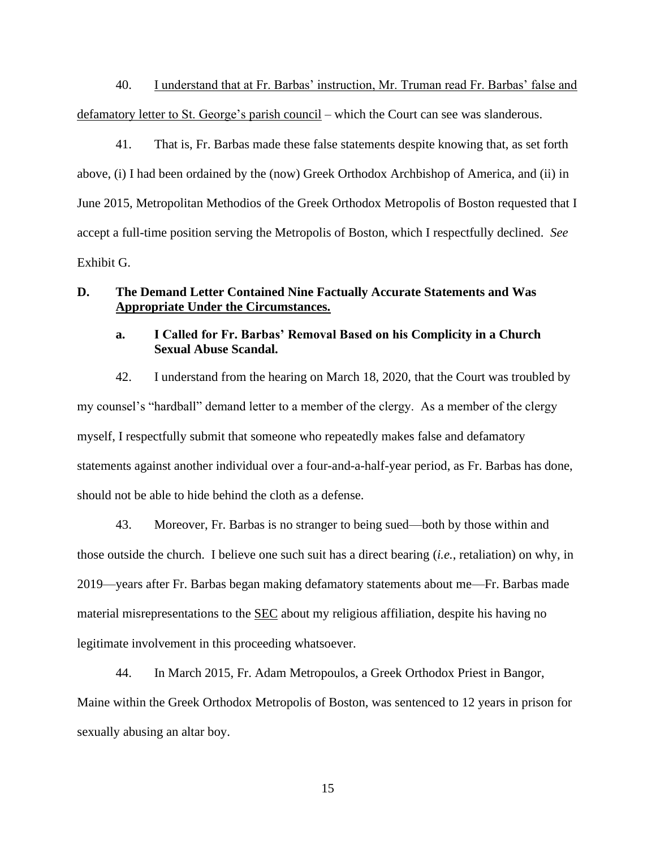40. I understand that at Fr. Barbas' instruction, Mr. Truman read Fr. Barbas' false and defamatory letter to St. George's parish council – which the Court can see was slanderous.

41. That is, Fr. Barbas made these false statements despite knowing that, as set forth above, (i) I had been ordained by the (now) Greek Orthodox Archbishop of America, and (ii) in June 2015, Metropolitan Methodios of the Greek Orthodox Metropolis of Boston requested that I accept a full-time position serving the Metropolis of Boston, which I respectfully declined. *See* Exhibit G.

### **D. The Demand Letter Contained Nine Factually Accurate Statements and Was Appropriate Under the Circumstances.**

## **a. I Called for Fr. Barbas' Removal Based on his Complicity in a Church Sexual Abuse Scandal.**

42. I understand from the hearing on March 18, 2020, that the Court was troubled by my counsel's "hardball" demand letter to a member of the clergy. As a member of the clergy myself, I respectfully submit that someone who repeatedly makes false and defamatory statements against another individual over a four-and-a-half-year period, as Fr. Barbas has done, should not be able to hide behind the cloth as a defense.

43. Moreover, Fr. Barbas is no stranger to being sued—both by those within and those outside the church. I believe one such suit has a direct bearing (*i.e.*, retaliation) on why, in 2019—years after Fr. Barbas began making defamatory statements about me—Fr. Barbas made material misrepresentations to the SEC about my religious affiliation, despite his having no legitimate involvement in this proceeding whatsoever.

44. In March 2015, Fr. Adam Metropoulos, a Greek Orthodox Priest in Bangor, Maine within the Greek Orthodox Metropolis of Boston, was sentenced to 12 years in prison for sexually abusing an altar boy.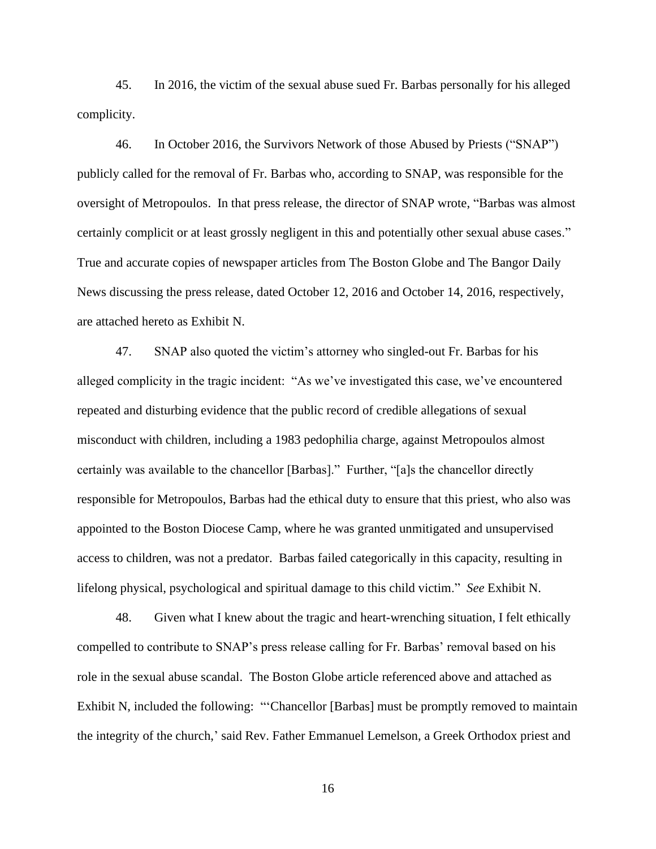45. In 2016, the victim of the sexual abuse sued Fr. Barbas personally for his alleged complicity.

46. In October 2016, the Survivors Network of those Abused by Priests ("SNAP") publicly called for the removal of Fr. Barbas who, according to SNAP, was responsible for the oversight of Metropoulos. In that press release, the director of SNAP wrote, "Barbas was almost certainly complicit or at least grossly negligent in this and potentially other sexual abuse cases." True and accurate copies of newspaper articles from The Boston Globe and The Bangor Daily News discussing the press release, dated October 12, 2016 and October 14, 2016, respectively, are attached hereto as Exhibit N.

47. SNAP also quoted the victim's attorney who singled-out Fr. Barbas for his alleged complicity in the tragic incident: "As we've investigated this case, we've encountered repeated and disturbing evidence that the public record of credible allegations of sexual misconduct with children, including a 1983 pedophilia charge, against Metropoulos almost certainly was available to the chancellor [Barbas]." Further, "[a]s the chancellor directly responsible for Metropoulos, Barbas had the ethical duty to ensure that this priest, who also was appointed to the Boston Diocese Camp, where he was granted unmitigated and unsupervised access to children, was not a predator. Barbas failed categorically in this capacity, resulting in lifelong physical, psychological and spiritual damage to this child victim." *See* Exhibit N.

48. Given what I knew about the tragic and heart-wrenching situation, I felt ethically compelled to contribute to SNAP's press release calling for Fr. Barbas' removal based on his role in the sexual abuse scandal. The Boston Globe article referenced above and attached as Exhibit N, included the following: "'Chancellor [Barbas] must be promptly removed to maintain the integrity of the church,' said Rev. Father Emmanuel Lemelson, a Greek Orthodox priest and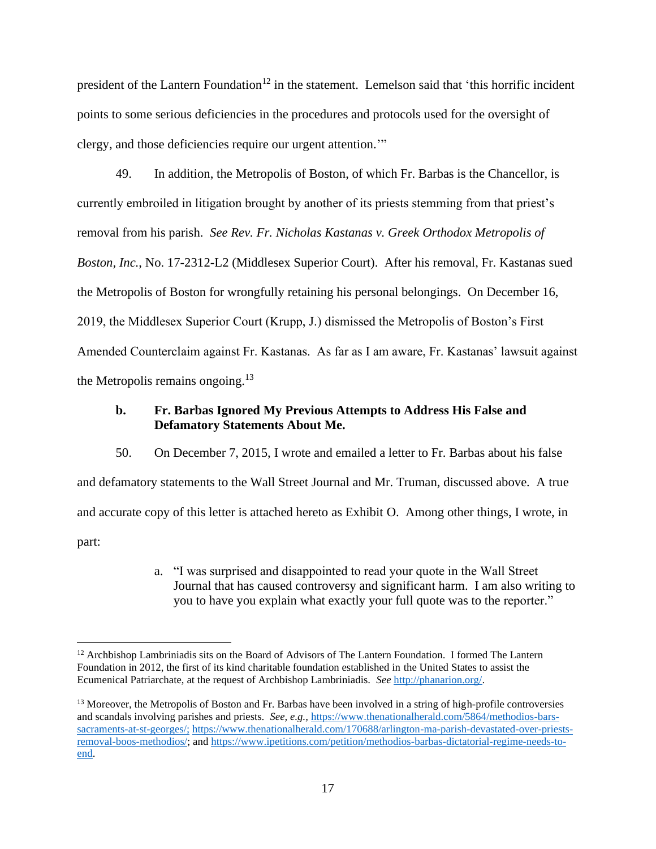president of the Lantern Foundation<sup>12</sup> in the statement. Lemelson said that 'this horrific incident points to some serious deficiencies in the procedures and protocols used for the oversight of clergy, and those deficiencies require our urgent attention.'"

49. In addition, the Metropolis of Boston, of which Fr. Barbas is the Chancellor, is currently embroiled in litigation brought by another of its priests stemming from that priest's removal from his parish. *See Rev. Fr. Nicholas Kastanas v. Greek Orthodox Metropolis of Boston, Inc.*, No. 17-2312-L2 (Middlesex Superior Court). After his removal, Fr. Kastanas sued the Metropolis of Boston for wrongfully retaining his personal belongings. On December 16, 2019, the Middlesex Superior Court (Krupp, J.) dismissed the Metropolis of Boston's First Amended Counterclaim against Fr. Kastanas. As far as I am aware, Fr. Kastanas' lawsuit against the Metropolis remains ongoing. $13$ 

### **b. Fr. Barbas Ignored My Previous Attempts to Address His False and Defamatory Statements About Me.**

50. On December 7, 2015, I wrote and emailed a letter to Fr. Barbas about his false and defamatory statements to the Wall Street Journal and Mr. Truman, discussed above. A true and accurate copy of this letter is attached hereto as Exhibit O. Among other things, I wrote, in part:

> a. "I was surprised and disappointed to read your quote in the Wall Street Journal that has caused controversy and significant harm. I am also writing to you to have you explain what exactly your full quote was to the reporter."

<sup>&</sup>lt;sup>12</sup> Archbishop Lambriniadis sits on the Board of Advisors of The Lantern Foundation. I formed The Lantern Foundation in 2012, the first of its kind charitable foundation established in the United States to assist the Ecumenical Patriarchate, at the request of Archbishop Lambriniadis. *See* [http://phanarion.org/.](http://phanarion.org/)

<sup>&</sup>lt;sup>13</sup> Moreover, the Metropolis of Boston and Fr. Barbas have been involved in a string of high-profile controversies and scandals involving parishes and priests. *See, e.g.,* [https://www.thenationalherald.com/5864/methodios-bars](https://www.thenationalherald.com/5864/methodios-bars-sacraments-at-st-georges/)[sacraments-at-st-georges/;](https://www.thenationalherald.com/5864/methodios-bars-sacraments-at-st-georges/) [https://www.thenationalherald.com/170688/arlington-ma-parish-devastated-over-priests](https://www.thenationalherald.com/170688/arlington-ma-parish-devastated-over-priests-removal-boos-methodios/)[removal-boos-methodios/;](https://www.thenationalherald.com/170688/arlington-ma-parish-devastated-over-priests-removal-boos-methodios/) and [https://www.ipetitions.com/petition/methodios-barbas-dictatorial-regime-needs-to](https://www.ipetitions.com/petition/methodios-barbas-dictatorial-regime-needs-to-end)[end.](https://www.ipetitions.com/petition/methodios-barbas-dictatorial-regime-needs-to-end)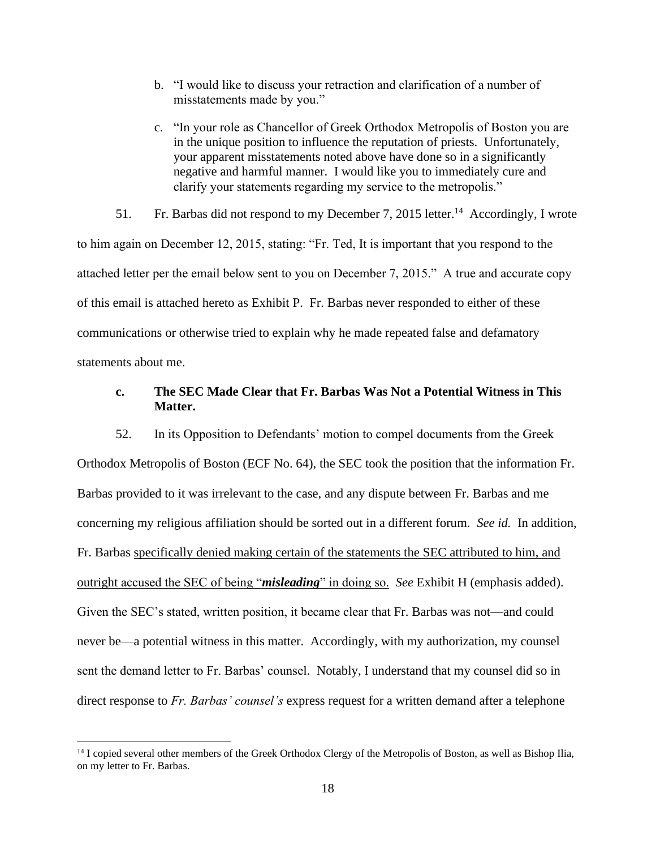- b. "I would like to discuss your retraction and clarification of a number of misstatements made by you."
- c. "In your role as Chancellor of Greek Orthodox Metropolis of Boston you are in the unique position to influence the reputation of priests. Unfortunately, your apparent misstatements noted above have done so in a significantly negative and harmful manner. I would like you to immediately cure and clarify your statements regarding my service to the metropolis."

51. Fr. Barbas did not respond to my December 7, 2015 letter.<sup>14</sup> Accordingly, I wrote to him again on December 12, 2015, stating: "Fr. Ted, It is important that you respond to the attached letter per the email below sent to you on December 7, 2015." A true and accurate copy of this email is attached hereto as Exhibit P. Fr. Barbas never responded to either of these communications or otherwise tried to explain why he made repeated false and defamatory statements about me.

## **c. The SEC Made Clear that Fr. Barbas Was Not a Potential Witness in This Matter.**

52. In its Opposition to Defendants' motion to compel documents from the Greek Orthodox Metropolis of Boston (ECF No. 64), the SEC took the position that the information Fr. Barbas provided to it was irrelevant to the case, and any dispute between Fr. Barbas and me concerning my religious affiliation should be sorted out in a different forum. *See id.* In addition, Fr. Barbas specifically denied making certain of the statements the SEC attributed to him, and outright accused the SEC of being "*misleading*" in doing so. *See* Exhibit H (emphasis added). Given the SEC's stated, written position, it became clear that Fr. Barbas was not—and could never be—a potential witness in this matter. Accordingly, with my authorization, my counsel sent the demand letter to Fr. Barbas' counsel. Notably, I understand that my counsel did so in direct response to *Fr. Barbas' counsel's* express request for a written demand after a telephone

<sup>&</sup>lt;sup>14</sup> I copied several other members of the Greek Orthodox Clergy of the Metropolis of Boston, as well as Bishop Ilia, on my letter to Fr. Barbas.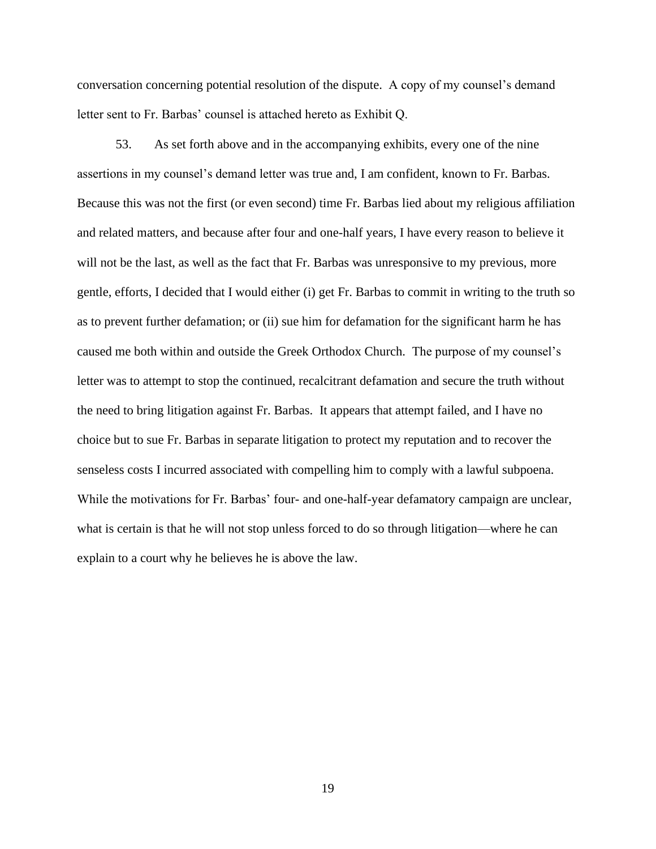conversation concerning potential resolution of the dispute. A copy of my counsel's demand letter sent to Fr. Barbas' counsel is attached hereto as Exhibit Q.

53. As set forth above and in the accompanying exhibits, every one of the nine assertions in my counsel's demand letter was true and, I am confident, known to Fr. Barbas. Because this was not the first (or even second) time Fr. Barbas lied about my religious affiliation and related matters, and because after four and one-half years, I have every reason to believe it will not be the last, as well as the fact that Fr. Barbas was unresponsive to my previous, more gentle, efforts, I decided that I would either (i) get Fr. Barbas to commit in writing to the truth so as to prevent further defamation; or (ii) sue him for defamation for the significant harm he has caused me both within and outside the Greek Orthodox Church. The purpose of my counsel's letter was to attempt to stop the continued, recalcitrant defamation and secure the truth without the need to bring litigation against Fr. Barbas. It appears that attempt failed, and I have no choice but to sue Fr. Barbas in separate litigation to protect my reputation and to recover the senseless costs I incurred associated with compelling him to comply with a lawful subpoena. While the motivations for Fr. Barbas' four- and one-half-year defamatory campaign are unclear, what is certain is that he will not stop unless forced to do so through litigation—where he can explain to a court why he believes he is above the law.